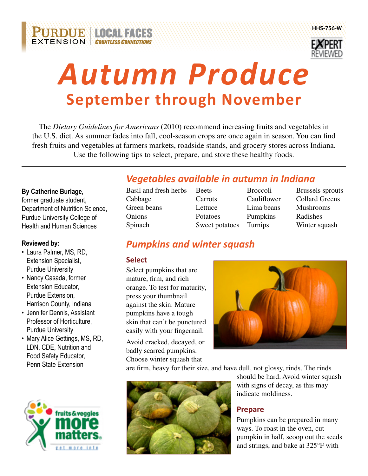



# *Autumn Produce* **September through November**

The *Dietary Guidelines for Americans* (2010) recommend increasing fruits and vegetables in the U.S. diet. As summer fades into fall, cool-season crops are once again in season. You can find fresh fruits and vegetables at farmers markets, roadside stands, and grocery stores across Indiana. Use the following tips to select, prepare, and store these healthy foods.

#### **By Catherine Burlage,**

former graduate student, Department of Nutrition Science, Purdue University College of Health and Human Sciences

#### **Reviewed by:**

- Laura Palmer, MS, RD, Extension Specialist, Purdue University
- Nancy Casada, former Extension Educator, Purdue Extension, Harrison County, Indiana
- • Jennifer Dennis, Assistant Professor of Horticulture, Purdue University
- Mary Alice Gettings, MS, RD, LDN, CDE, Nutrition and Food Safety Educator, Penn State Extension



# *Vegetables available in autumn in Indiana*

Basil and fresh herbs Beets Broccoli Brussels sprouts Cabbage Carrots Cauliflower Collard Greens Green beans Lettuce Lima beans Mushrooms Onions Potatoes Pumpkins Radishes Spinach Sweet potatoes Turnips Winter squash

# *Pumpkins and winter squash*

#### **Select**

Select pumpkins that are mature, firm, and rich orange. To test for maturity, press your thumbnail against the skin. Mature pumpkins have a tough skin that can't be punctured easily with your fingernail.

Avoid cracked, decayed, or badly scarred pumpkins. Choose winter squash that



are firm, heavy for their size, and have dull, not glossy, rinds. The rinds



should be hard. Avoid winter squash with signs of decay, as this may indicate moldiness.

## **Prepare**

Pumpkins can be prepared in many ways. To roast in the oven, cut pumpkin in half, scoop out the seeds and strings, and bake at 325°F with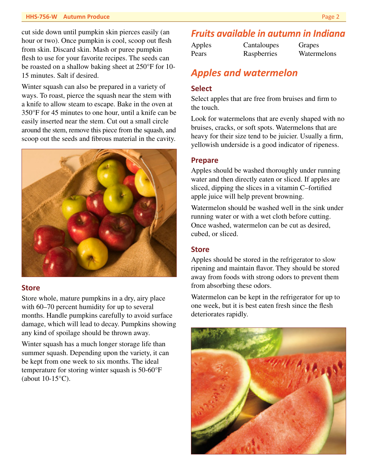#### **HHS-756-W Autumn Produce** Page 2

cut side down until pumpkin skin pierces easily (an hour or two). Once pumpkin is cool, scoop out flesh from skin. Discard skin. Mash or puree pumpkin flesh to use for your favorite recipes. The seeds can be roasted on a shallow baking sheet at 250°F for 10- 15 minutes. Salt if desired.

Winter squash can also be prepared in a variety of ways. To roast, pierce the squash near the stem with a knife to allow steam to escape. Bake in the oven at 350°F for 45 minutes to one hour, until a knife can be easily inserted near the stem. Cut out a small circle around the stem, remove this piece from the squash, and scoop out the seeds and fibrous material in the cavity.



#### **Store**

Store whole, mature pumpkins in a dry, airy place with 60–70 percent humidity for up to several months. Handle pumpkins carefully to avoid surface damage, which will lead to decay. Pumpkins showing any kind of spoilage should be thrown away.

Winter squash has a much longer storage life than summer squash. Depending upon the variety, it can be kept from one week to six months. The ideal temperature for storing winter squash is 50-60°F (about 10-15°C).

## *Fruits available in autumn in Indiana*

| Apples | Cantaloupes | Grapes      |
|--------|-------------|-------------|
| Pears  | Raspberries | Watermelons |

## *Apples and watermelon*

#### **Select**

Select apples that are free from bruises and firm to the touch.

Look for watermelons that are evenly shaped with no bruises, cracks, or soft spots. Watermelons that are heavy for their size tend to be juicier. Usually a firm, yellowish underside is a good indicator of ripeness.

#### **Prepare**

Apples should be washed thoroughly under running water and then directly eaten or sliced. If apples are sliced, dipping the slices in a vitamin C–fortified apple juice will help prevent browning.

Watermelon should be washed well in the sink under running water or with a wet cloth before cutting. Once washed, watermelon can be cut as desired, cubed, or sliced.

#### **Store**

Apples should be stored in the refrigerator to slow ripening and maintain flavor. They should be stored away from foods with strong odors to prevent them from absorbing these odors.

Watermelon can be kept in the refrigerator for up to one week, but it is best eaten fresh since the flesh deteriorates rapidly.

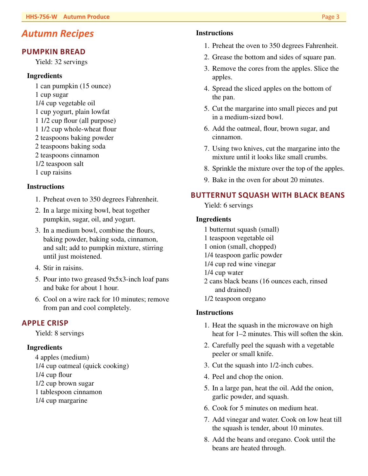## *Autumn Recipes*

#### **PUMPKIN BREAD**

Yield: 32 servings

#### **Ingredients**

- 1 can pumpkin (15 ounce)
- 1 cup sugar
- 1/4 cup vegetable oil
- 1 cup yogurt, plain lowfat
- 1 1/2 cup flour (all purpose)
- 1 1/2 cup whole-wheat flour
- 2 teaspoons baking powder
- 2 teaspoons baking soda
- 2 teaspoons cinnamon
- 1/2 teaspoon salt
- 1 cup raisins

#### **Instructions**

- 1. Preheat oven to 350 degrees Fahrenheit.
- 2. In a large mixing bowl, beat together pumpkin, sugar, oil, and yogurt.
- 3. In a medium bowl, combine the flours, baking powder, baking soda, cinnamon, and salt; add to pumpkin mixture, stirring until just moistened.
- 4. Stir in raisins.
- 5. Pour into two greased 9x5x3-inch loaf pans and bake for about 1 hour.
- 6. Cool on a wire rack for 10 minutes; remove from pan and cool completely.

#### **APPLE CRISP**

Yield: 8 servings

#### **Ingredients**

4 apples (medium) 1/4 cup oatmeal (quick cooking) 1/4 cup flour 1/2 cup brown sugar 1 tablespoon cinnamon 1/4 cup margarine

#### **Instructions**

- 1. Preheat the oven to 350 degrees Fahrenheit.
- 2. Grease the bottom and sides of square pan.
- 3. Remove the cores from the apples. Slice the apples.
- 4. Spread the sliced apples on the bottom of the pan.
- 5. Cut the margarine into small pieces and put in a medium-sized bowl.
- 6. Add the oatmeal, flour, brown sugar, and cinnamon.
- 7. Using two knives, cut the margarine into the mixture until it looks like small crumbs.
- 8. Sprinkle the mixture over the top of the apples.
- 9. Bake in the oven for about 20 minutes.

#### **BUTTERNUT SQUASH WITH BLACK BEANS**

Yield: 6 servings

#### **Ingredients**

- 1 butternut squash (small)
- 1 teaspoon vegetable oil
- 1 onion (small, chopped)
- 1/4 teaspoon garlic powder
- 1/4 cup red wine vinegar
- 1/4 cup water
- 2 cans black beans (16 ounces each, rinsed and drained)
- 1/2 teaspoon oregano

#### **Instructions**

- 1. Heat the squash in the microwave on high heat for 1–2 minutes. This will soften the skin.
- 2. Carefully peel the squash with a vegetable peeler or small knife.
- 3. Cut the squash into 1/2-inch cubes.
- 4. Peel and chop the onion.
- 5. In a large pan, heat the oil. Add the onion, garlic powder, and squash.
- 6. Cook for 5 minutes on medium heat.
- 7. Add vinegar and water. Cook on low heat till the squash is tender, about 10 minutes.
- 8. Add the beans and oregano. Cook until the beans are heated through.